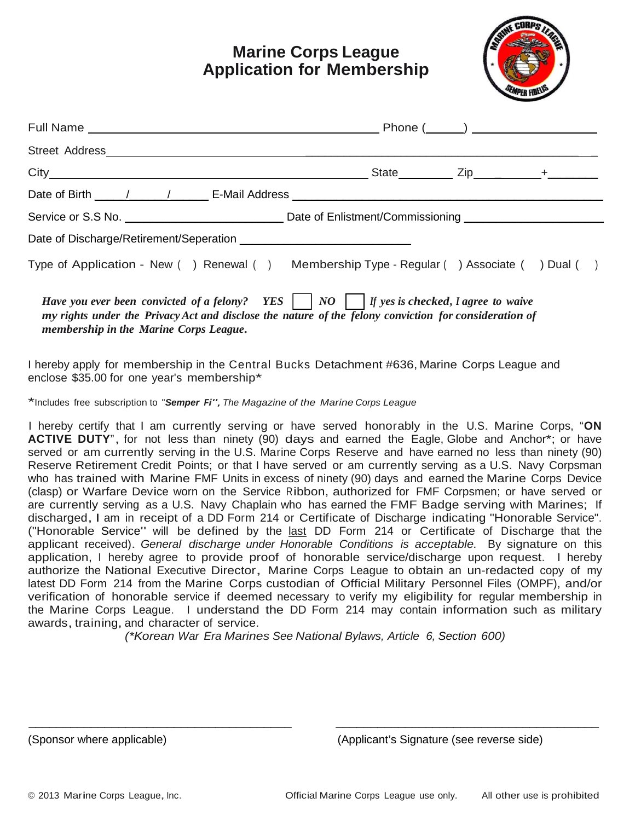## **Marine Corps League Application for Membership**



|                                                                                                                                                                                                                                                                         |  |  | State $\overline{zip}$ $\overline{+}$ $+$ |  |
|-------------------------------------------------------------------------------------------------------------------------------------------------------------------------------------------------------------------------------------------------------------------------|--|--|-------------------------------------------|--|
|                                                                                                                                                                                                                                                                         |  |  |                                           |  |
|                                                                                                                                                                                                                                                                         |  |  |                                           |  |
|                                                                                                                                                                                                                                                                         |  |  |                                           |  |
| Type of Application - New () Renewal () Membership Type - Regular () Associate () Dual ()                                                                                                                                                                               |  |  |                                           |  |
| Have you ever been convicted of a felony? YES $\vert$ $\vert$ NO $\vert$ $\vert$ If yes is checked, I agree to waive<br>my rights under the Privacy Act and disclose the nature of the felony conviction for consideration of<br>membership in the Marine Corps League. |  |  |                                           |  |

I hereby apply for membership in the Central Bucks Detachment #636, Marine Corps League and enclose \$35.00 for one year's membership\*

\*Includes free subscription to "*Semper Fi",The Magazine of the Marine Corps League*

I hereby certify that I am currently serving or have served honorably in the U.S. Marine Corps, "**ON ACTIVE DUTY**", for not less than ninety (90) days and earned the Eagle, Globe and Anchor\*; or have served or am currently serving in the U.S. Marine Corps Reserve and have earned no less than ninety (90) Reserve Retirement Credit Points; or that I have served or am currently serving as a U.S. Navy Corpsman who has trained with Marine FMF Units in excess of ninety (90) days and earned the Marine Corps Device (clasp) or Warfare Device worn on the Service Ribbon, authorized for FMF Corpsmen; or have served or are currently serving as a U.S. Navy Chaplain who has earned the FMF Badge serving with Marines; If discharged, I am in receipt of a DD Form 214 or Certificate of Discharge indicating "Honorable Service". ("Honorable Service" will be defined by the last DD Form 214 or Certificate of Discharge that the applicant received). *General discharge under Honorable Conditions is acceptable.* By signature on this application, I hereby agree to provide proof of honorable service/discharge upon request. I hereby authorize the National Executive Director, Marine Corps League to obtain an un-redacted copy of my latest DD Form 214 from the Marine Corps custodian of Official Military Personnel Files (OMPF), and/or verification of honorable service if deemed necessary to verify my eligibility for regular membership in the Marine Corps League. I understand the DD Form 214 may contain information such as military awards, training, and character of service.

*(\*Korean War Era Marines See National Bylaws, Article 6, Section 600)*

\_\_\_\_\_\_\_\_\_\_\_\_\_\_\_\_\_\_\_\_\_\_\_\_\_\_\_\_\_\_\_\_\_\_\_\_\_\_ \_\_\_\_\_\_\_\_\_\_\_\_\_\_\_\_\_\_\_\_\_\_\_\_\_\_\_\_\_\_\_\_\_\_\_\_\_\_

(Sponsor where applicable) (Applicant's Signature (see reverse side)